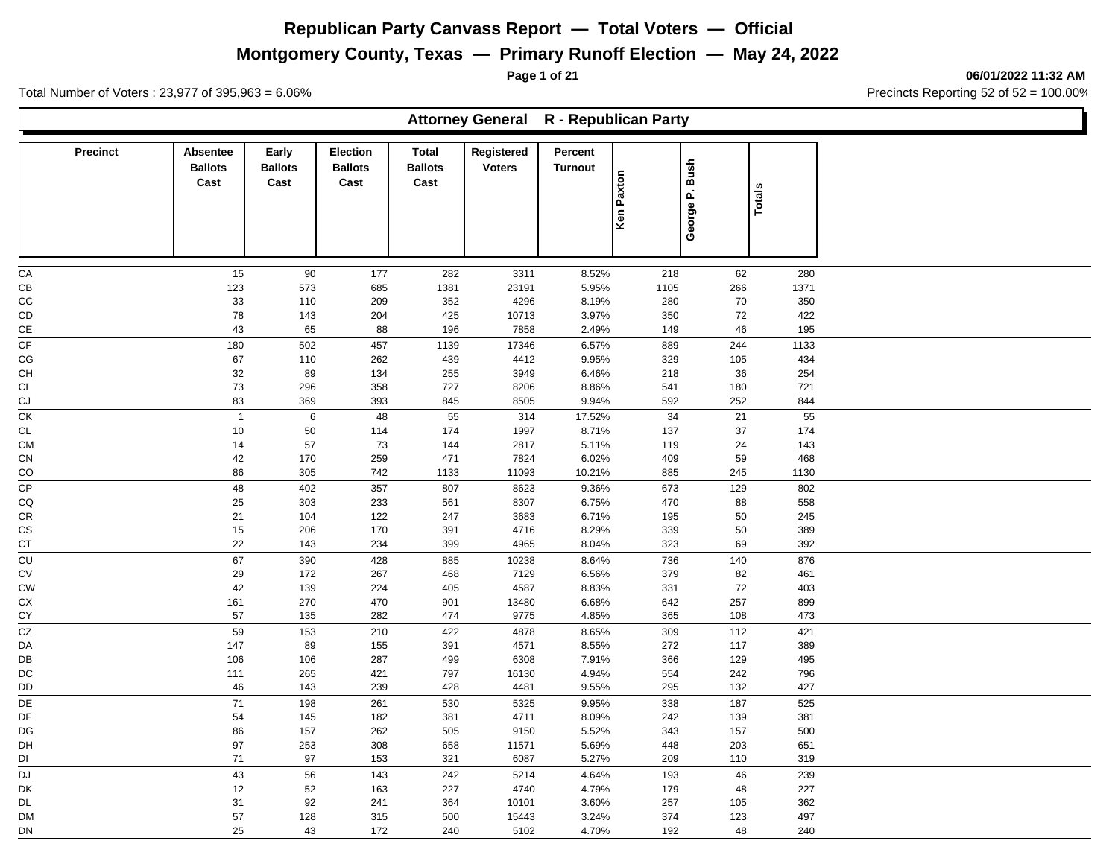**Montgomery County, Texas — Primary Runoff Election — May 24, 2022**

**Page 1 of 21 06/01/2022 11:32 AM**

Ъ

Total Number of Voters : 23,977 of 395,963 = 6.06% Precincts Reporting 52 of 52 = 100.00%

Г

|                      |                                           |                                 |                                           |                                 | Attorney General R - Republican Party |                           |                   |                |               |  |
|----------------------|-------------------------------------------|---------------------------------|-------------------------------------------|---------------------------------|---------------------------------------|---------------------------|-------------------|----------------|---------------|--|
| Precinct             | <b>Absentee</b><br><b>Ballots</b><br>Cast | Early<br><b>Ballots</b><br>Cast | <b>Election</b><br><b>Ballots</b><br>Cast | Total<br><b>Ballots</b><br>Cast | Registered<br><b>Voters</b>           | Percent<br><b>Turnout</b> | <b>Ken Paxton</b> | George P. Bush | <b>Totals</b> |  |
| CA                   | 15                                        | $90\,$                          | 177                                       | 282                             | 3311                                  | 8.52%                     | 218               | 62             | 280           |  |
| CB                   | 123                                       | 573                             | 685                                       | 1381                            | 23191                                 | 5.95%                     | 1105              | 266            | 1371          |  |
| CC                   | 33                                        | 110                             | 209                                       | 352                             | 4296                                  | 8.19%                     | 280               | $70\,$         | 350           |  |
| CD                   | 78                                        | 143                             | 204                                       | 425                             | 10713                                 | 3.97%                     | 350               | $72\,$         | 422           |  |
| CE                   | 43                                        | 65                              | 88                                        | 196                             | 7858                                  | 2.49%                     | 149               | 46             | 195           |  |
| CF                   | 180                                       | 502                             | 457                                       | 1139                            | 17346                                 | 6.57%                     | 889               | 244            | 1133          |  |
| CG                   | 67                                        | 110                             | 262                                       | 439                             | 4412                                  | 9.95%                     | 329               | 105            | 434           |  |
| <b>CH</b>            | $32\,$                                    | 89                              | 134                                       | 255                             | 3949                                  | 6.46%                     | 218               | 36             | 254           |  |
| CI                   | 73                                        | 296                             | 358                                       | 727                             | 8206                                  | 8.86%                     | 541               | 180            | 721           |  |
| CJ                   | 83                                        | 369                             | 393                                       | 845                             | 8505                                  | 9.94%                     | 592               | 252            | 844           |  |
| CK                   | $\overline{1}$                            | $\,6\,$                         | 48                                        | 55                              | 314                                   | 17.52%                    | 34                | 21             | 55            |  |
| <b>CL</b>            | 10                                        | 50                              | 114                                       | 174                             | 1997                                  | 8.71%                     | 137               | 37             | 174           |  |
| <b>CM</b>            | 14                                        | 57                              | 73                                        | 144                             | 2817                                  | 5.11%                     | 119               | 24             | 143<br>468    |  |
| CN<br>CO             | 42<br>86                                  | 170<br>305                      | 259<br>742                                | 471<br>1133                     | 7824<br>11093                         | 6.02%<br>10.21%           | 409<br>885        | 59<br>245      | 1130          |  |
| CP                   | 48                                        | 402                             | 357                                       | 807                             | 8623                                  | 9.36%                     | 673               | 129            | 802           |  |
| CQ                   | 25                                        | 303                             | 233                                       | 561                             | 8307                                  | 6.75%                     | 470               | 88             | 558           |  |
| CR                   | 21                                        | 104                             | 122                                       | 247                             | 3683                                  | 6.71%                     | 195               | 50             | 245           |  |
| $\mathsf{CS}\xspace$ | 15                                        | 206                             | 170                                       | 391                             | 4716                                  | 8.29%                     | 339               | 50             | 389           |  |
| <b>CT</b>            | 22                                        | 143                             | 234                                       | 399                             | 4965                                  | 8.04%                     | 323               | 69             | 392           |  |
| CU                   | 67                                        | 390                             | 428                                       | 885                             | 10238                                 | 8.64%                     | 736               | 140            | 876           |  |
| CV                   | 29                                        | 172                             | 267                                       | 468                             | 7129                                  | 6.56%                     | 379               | 82             | 461           |  |
| CW                   | 42                                        | 139                             | 224                                       | 405                             | 4587                                  | 8.83%                     | 331               | $72\,$         | 403           |  |
| СX                   | 161                                       | 270                             | 470                                       | 901                             | 13480                                 | 6.68%                     | 642               | 257            | 899           |  |
| CY                   | 57                                        | 135                             | 282                                       | 474                             | 9775                                  | 4.85%                     | 365               | 108            | 473           |  |
| $\overline{cz}$      | 59                                        | 153                             | 210                                       | 422                             | 4878                                  | 8.65%                     | 309               | 112            | 421           |  |
| DA                   | 147                                       | 89                              | 155                                       | 391                             | 4571                                  | 8.55%                     | 272               | 117            | 389           |  |
| DB                   | 106                                       | 106                             | 287                                       | 499                             | 6308                                  | 7.91%                     | 366               | 129            | 495           |  |
| DC                   | 111                                       | 265                             | 421                                       | 797                             | 16130                                 | 4.94%                     | 554               | 242            | 796           |  |
| DD                   | 46                                        | 143                             | 239                                       | 428                             | 4481                                  | 9.55%                     | 295               | 132            | 427           |  |
| DE                   | $71$                                      | 198                             | 261                                       | 530                             | 5325                                  | 9.95%                     | 338               | 187            | 525           |  |
| DF                   | 54                                        | 145                             | 182                                       | 381                             | 4711                                  | 8.09%                     | 242               | 139            | 381           |  |
| DG                   | 86                                        | 157                             | 262                                       | 505                             | 9150                                  | 5.52%                     | 343               | 157            | 500           |  |
| DH                   | 97                                        | 253                             | 308                                       | 658                             | 11571                                 | 5.69%                     | 448               | 203            | 651           |  |
| DI                   | 71                                        | 97                              | 153                                       | 321                             | 6087                                  | 5.27%                     | 209               | 110            | 319           |  |
| <b>DJ</b>            | 43                                        | 56                              | 143                                       | 242                             | 5214                                  | 4.64%                     | 193               | 46             | 239           |  |
| DK                   | 12                                        | $52\,$                          | 163                                       | 227                             | 4740                                  | 4.79%                     | 179               | 48             | 227           |  |
| <b>DL</b>            | 31                                        | 92                              | 241                                       | 364                             | 10101<br>15443                        | 3.60%                     | 257               | 105            | 362           |  |
| <b>DM</b><br>DN      | 57<br>25                                  | 128<br>43                       | 315<br>172                                | 500                             |                                       | 3.24%<br>4.70%            | 374<br>192        | 123            | 497           |  |
|                      |                                           |                                 |                                           | 240                             | 5102                                  |                           |                   | 48             | 240           |  |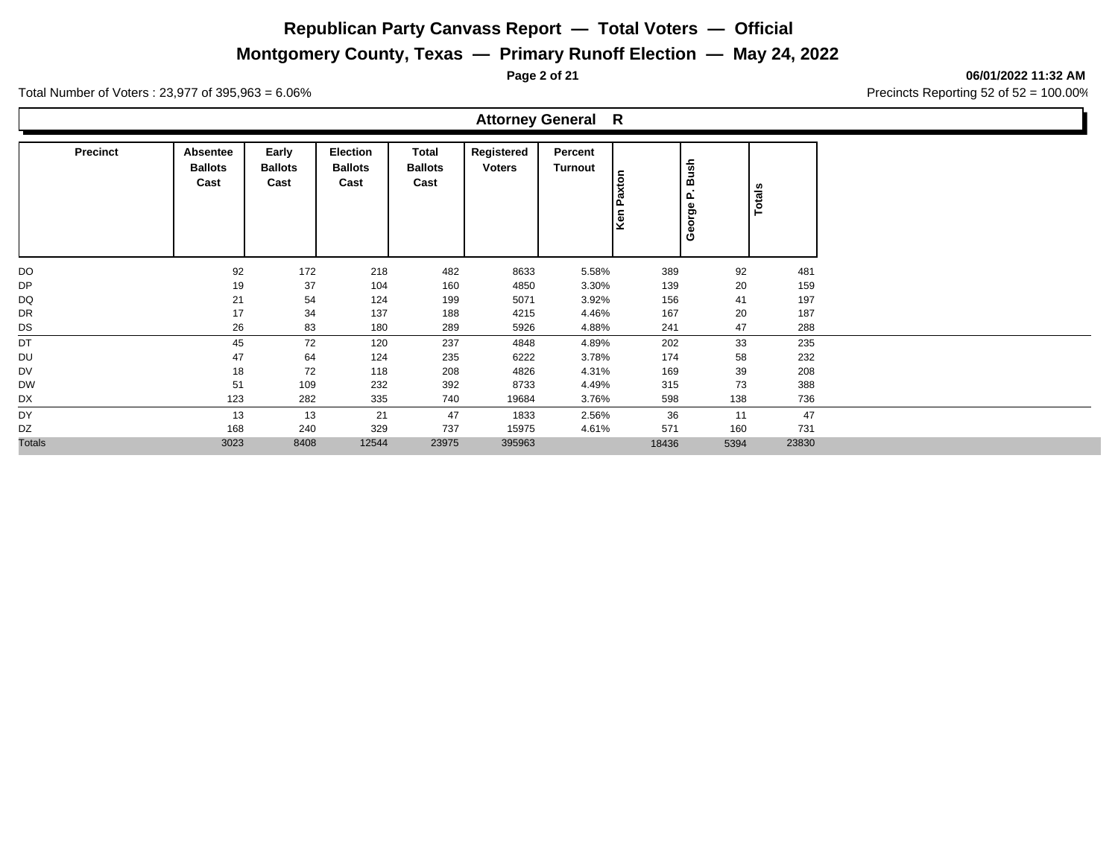**Montgomery County, Texas — Primary Runoff Election — May 24, 2022**

**Page 2 of 21 06/01/2022 11:32 AM**

Total Number of Voters : 23,977 of 395,963 = 6.06% Precincts Reporting 52 of 52 = 100.00%

**Ballots Cast**

**Precinct Absentee** 

|                                 |                                           |                                 | <b>Attorney General</b>     |                           | R                  |                              |            |  |
|---------------------------------|-------------------------------------------|---------------------------------|-----------------------------|---------------------------|--------------------|------------------------------|------------|--|
| Early<br><b>Ballots</b><br>Cast | <b>Election</b><br><b>Ballots</b><br>Cast | Total<br><b>Ballots</b><br>Cast | Registered<br><b>Voters</b> | Percent<br><b>Turnout</b> | ×<br>ᠭᢐ<br>۵ō<br>× | Bush<br>௨<br>ჵ<br><u>ତ</u> ି | otals<br>⊢ |  |

|               |      |      |       |       |        |       | 5<br>Δ. | ட              | ី     |
|---------------|------|------|-------|-------|--------|-------|---------|----------------|-------|
|               |      |      |       |       |        |       | Ken     | pp,<br>$\circ$ | ⊢     |
|               |      |      |       |       |        |       |         | ඵ              |       |
|               |      |      |       |       |        |       |         |                |       |
| DO            | 92   | 172  | 218   | 482   | 8633   | 5.58% | 389     | 92             | 481   |
| DP            | 19   | 37   | 104   | 160   | 4850   | 3.30% | 139     | 20             | 159   |
| DQ            | 21   | 54   | 124   | 199   | 5071   | 3.92% | 156     | 41             | 197   |
| DR            | 17   | 34   | 137   | 188   | 4215   | 4.46% | 167     | 20             | 187   |
| DS            | 26   | 83   | 180   | 289   | 5926   | 4.88% | 241     | 47             | 288   |
| DT            | 45   | 72   | 120   | 237   | 4848   | 4.89% | 202     | 33             | 235   |
| DU            | 47   | 64   | 124   | 235   | 6222   | 3.78% | 174     | 58             | 232   |
| <b>DV</b>     | 18   | 72   | 118   | 208   | 4826   | 4.31% | 169     | 39             | 208   |
| <b>DW</b>     | 51   | 109  | 232   | 392   | 8733   | 4.49% | 315     | 73             | 388   |
| DX            | 123  | 282  | 335   | 740   | 19684  | 3.76% | 598     | 138            | 736   |
| DY            | 13   | 13   | 21    | 47    | 1833   | 2.56% | 36      | 11             | 47    |
| DZ            | 168  | 240  | 329   | 737   | 15975  | 4.61% | 571     | 160            | 731   |
| <b>Totals</b> | 3023 | 8408 | 12544 | 23975 | 395963 |       | 18436   | 5394           | 23830 |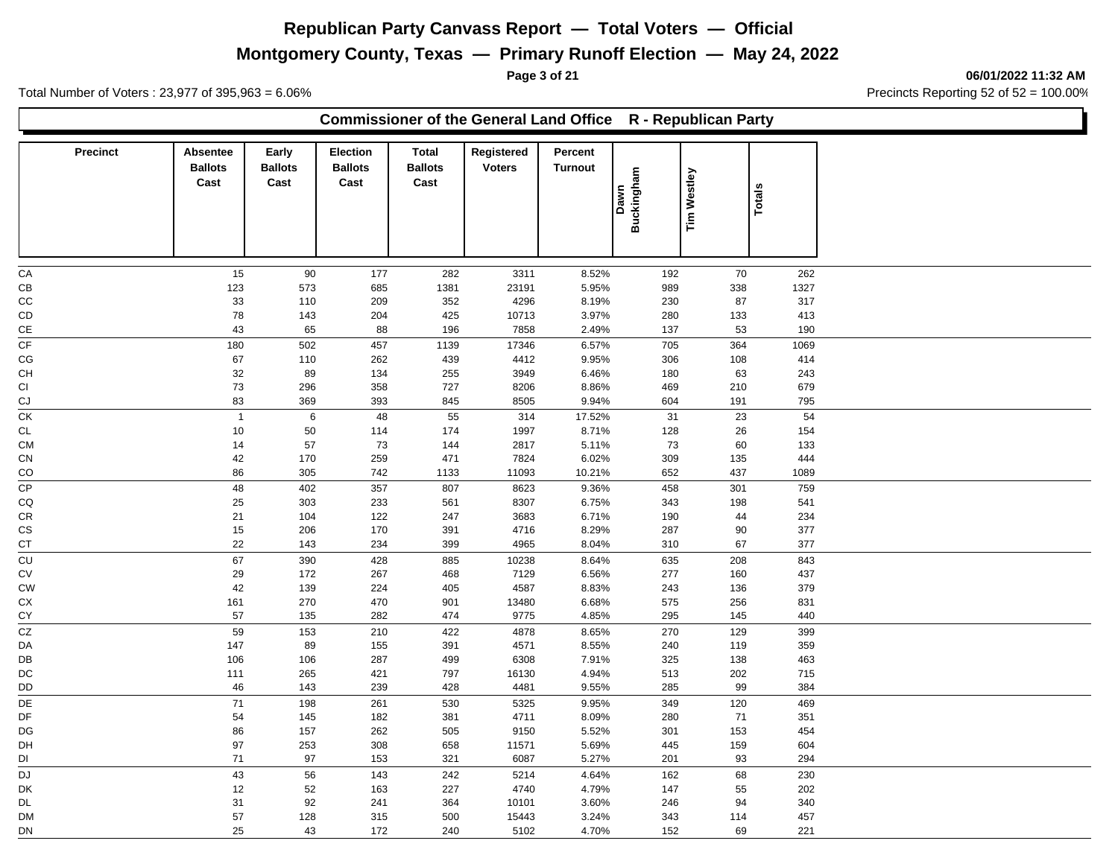# **Montgomery County, Texas — Primary Runoff Election — May 24, 2022**

**Commissioner of the General Land Office R - Republican Party**

**Page 3 of 21 06/01/2022 11:32 AM**

Total Number of Voters : 23,977 of 395,963 = 6.06% Precincts Reporting 52 of 52 = 100.00%

| <b>Precinct</b> | Absentee<br><b>Ballots</b><br>Cast | Early<br><b>Ballots</b><br>Cast | <b>Election</b><br><b>Ballots</b><br>Cast | Total<br><b>Ballots</b><br>Cast | Registered<br><b>Voters</b> | Percent<br><b>Turnout</b> | <b>Buckingham</b><br>Dawn | <b>Tim Westley</b> |        | <b>Totals</b> |
|-----------------|------------------------------------|---------------------------------|-------------------------------------------|---------------------------------|-----------------------------|---------------------------|---------------------------|--------------------|--------|---------------|
|                 |                                    |                                 |                                           |                                 |                             |                           |                           |                    |        |               |
| CA              | 15                                 | 90                              | 177                                       | 282                             | 3311                        | 8.52%                     |                           | 192                | 70     | 262           |
| CB              | 123                                | 573                             | 685                                       | 1381                            | 23191                       | 5.95%                     |                           | 989                | 338    | 1327          |
| CC              | 33                                 | 110                             | 209                                       | 352                             | 4296                        | 8.19%                     |                           | 230                | 87     | 317           |
| CD              | 78                                 | 143                             | 204                                       | 425                             | 10713                       | 3.97%                     |                           | 280                | 133    | 413           |
| $\mathsf{CE}$   | 43                                 | 65                              | 88                                        | 196                             | 7858                        | 2.49%                     |                           | 137                | 53     | 190           |
| CF              | 180                                | 502                             | 457                                       | 1139                            | 17346                       | 6.57%                     |                           | 705                | 364    | 1069          |
| CG              | 67                                 | 110                             | 262                                       | 439                             | 4412                        | 9.95%                     |                           | 306                | 108    | 414           |
| CH              | 32                                 | 89                              | 134                                       | 255                             | 3949                        | 6.46%                     |                           | 180                | 63     | 243           |
| CI              | 73                                 | 296                             | 358                                       | 727                             | 8206                        | 8.86%                     |                           | 469                | 210    | 679           |
| CJ              | 83                                 | 369                             | 393                                       | 845                             | 8505                        | 9.94%                     |                           | 604                | 191    | 795           |
| CK              | $\overline{1}$                     | 6                               | 48                                        | 55                              | 314                         | 17.52%                    |                           | 31                 | $23\,$ | 54            |
| <b>CL</b>       | 10                                 | 50                              | 114                                       | 174                             | 1997                        | 8.71%                     |                           | 128                | 26     | 154           |
| <b>CM</b>       | 14                                 | 57                              | 73                                        | 144                             | 2817                        | 5.11%                     |                           | 73                 | 60     | 133           |
| CN              | 42                                 | 170                             | 259                                       | 471                             | 7824                        | 6.02%                     |                           | 309                | 135    | 444           |
| CO              | 86                                 | 305                             | 742                                       | 1133                            | 11093                       | 10.21%                    |                           | 652                | 437    | 1089          |
| CP              | 48                                 | 402                             | 357                                       | 807                             | 8623                        | 9.36%                     |                           | 458                | 301    | 759           |
| CQ              | 25                                 | 303                             | 233                                       | 561                             | 8307                        | 6.75%                     |                           | 343                | 198    | 541           |
| ${\sf CR}$      | 21                                 | 104                             | 122                                       | 247                             | 3683                        | 6.71%                     |                           | 190                | 44     | 234           |
| CS              | 15                                 | 206                             | 170                                       | 391                             | 4716                        | 8.29%                     |                           | 287                | 90     | 377           |
| CT              | 22                                 | 143                             | 234                                       | 399                             | 4965                        | 8.04%                     |                           | 310                | 67     | 377           |
| CU              | 67                                 | 390                             | 428                                       | 885                             | 10238                       | 8.64%                     |                           | 635                | 208    | 843           |
| ${\sf CV}$      | 29                                 | 172                             | 267                                       | 468                             | 7129                        | 6.56%                     |                           | 277                | 160    | 437           |
|                 |                                    |                                 |                                           |                                 |                             |                           |                           |                    |        |               |
| <b>CW</b>       | 42                                 | 139<br>270                      | 224<br>470                                | 405<br>901                      | 4587<br>13480               | 8.83%<br>6.68%            |                           | 243<br>575         | 136    | 379<br>831    |
| СX<br>CY        | 161<br>57                          | 135                             | 282                                       | 474                             | 9775                        | 4.85%                     |                           | 295                | 256    | 440           |
|                 |                                    |                                 |                                           |                                 |                             |                           |                           |                    | 145    |               |
| CZ              | 59                                 | 153                             | 210                                       | 422                             | 4878                        | 8.65%                     |                           | 270                | 129    | 399           |
| DA              | 147                                | 89                              | 155                                       | 391                             | 4571                        | 8.55%                     |                           | 240                | 119    | 359           |
| DB              | 106                                | 106                             | 287                                       | 499                             | 6308                        | 7.91%                     |                           | 325                | 138    | 463           |
| DC              | 111                                | 265                             | 421                                       | 797                             | 16130                       | 4.94%                     |                           | 513                | 202    | 715           |
| DD              | 46                                 | 143                             | 239                                       | 428                             | 4481                        | 9.55%                     |                           | 285                | 99     | 384           |
| DE              | 71                                 | 198                             | 261                                       | 530                             | 5325                        | 9.95%                     |                           | 349                | 120    | 469           |
| DF              | 54                                 | 145                             | 182                                       | 381                             | 4711                        | 8.09%                     |                           | 280                | 71     | 351           |
| DG              | 86                                 | 157                             | 262                                       | 505                             | 9150                        | 5.52%                     |                           | 301                | 153    | 454           |
| DH              | 97                                 | 253                             | 308                                       | 658                             | 11571                       | 5.69%                     |                           | 445                | 159    | 604           |
| DI              | 71                                 | 97                              | 153                                       | 321                             | 6087                        | 5.27%                     |                           | 201                | 93     | 294           |
| <b>DJ</b>       | 43                                 | 56                              | 143                                       | 242                             | 5214                        | 4.64%                     |                           | 162                | 68     | 230           |
| DK              | 12                                 | 52                              | 163                                       | 227                             | 4740                        | 4.79%                     |                           | 147                | 55     | 202           |
| DL              | 31                                 | 92                              | 241                                       | 364                             | 10101                       | 3.60%                     |                           | 246                | 94     | 340           |
| DM              | 57                                 | 128                             | 315                                       | 500                             | 15443                       | 3.24%                     |                           | 343                | 114    | 457           |
| DN              | 25                                 | 43                              | 172                                       | 240                             | 5102                        | 4.70%                     |                           | 152                | 69     | 221           |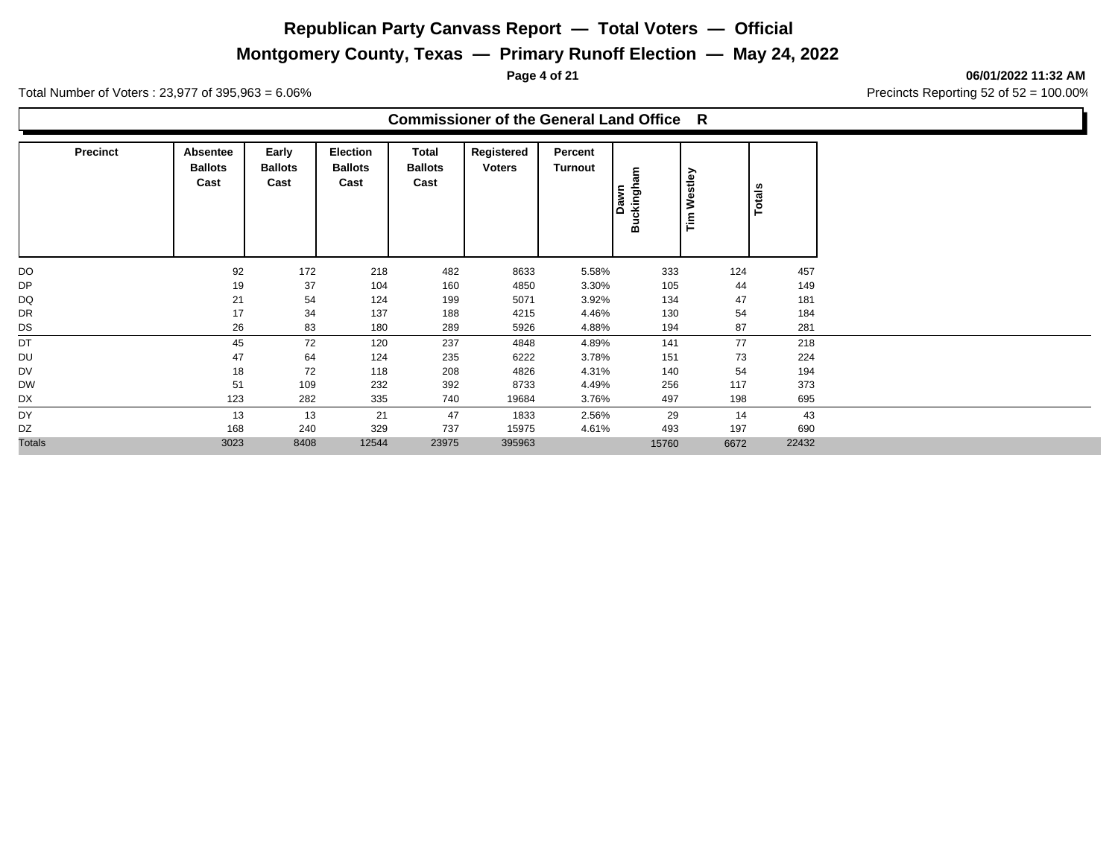# **Montgomery County, Texas — Primary Runoff Election — May 24, 2022**

**Page 4 of 21 06/01/2022 11:32 AM**

Total Number of Voters : 23,977 of 395,963 = 6.06% Precincts Reporting 52 of 52 = 100.00%

#### **Commissioner of the General Land Office R**

| <b>Precinct</b> | Absentee<br><b>Ballots</b><br>Cast | Early<br><b>Ballots</b><br>Cast | Election<br><b>Ballots</b><br>Cast | Total<br><b>Ballots</b><br>Cast | Registered<br><b>Voters</b> | Percent<br>Turnout | Buckingham<br>Dawn | Westley<br>$\tilde{\mathbf{r}}$ | <b>Totals</b> |       |
|-----------------|------------------------------------|---------------------------------|------------------------------------|---------------------------------|-----------------------------|--------------------|--------------------|---------------------------------|---------------|-------|
| DO              | 92                                 | 172                             | 218                                | 482                             | 8633                        | 5.58%              | 333                |                                 | 124           | 457   |
| DP              | 19                                 | 37                              | 104                                | 160                             | 4850                        | 3.30%              | 105                |                                 | 44            | 149   |
| DQ              | 21                                 | 54                              | 124                                | 199                             | 5071                        | 3.92%              | 134                |                                 | 47            | 181   |
| DR              | 17                                 | 34                              | 137                                | 188                             | 4215                        | 4.46%              | 130                |                                 | 54            | 184   |
| DS              | 26                                 | 83                              | 180                                | 289                             | 5926                        | 4.88%              | 194                |                                 | 87            | 281   |
| DT              | 45                                 | 72                              | 120                                | 237                             | 4848                        | 4.89%              | 141                |                                 | 77            | 218   |
| DU              | 47                                 | 64                              | 124                                | 235                             | 6222                        | 3.78%              | 151                |                                 | 73            | 224   |
| DV              | 18                                 | 72                              | 118                                | 208                             | 4826                        | 4.31%              | 140                |                                 | 54            | 194   |
| <b>DW</b>       | 51                                 | 109                             | 232                                | 392                             | 8733                        | 4.49%              | 256                |                                 | 117           | 373   |
| DX              | 123                                | 282                             | 335                                | 740                             | 19684                       | 3.76%              | 497                |                                 | 198           | 695   |
| DY              | 13                                 | 13                              | 21                                 | 47                              | 1833                        | 2.56%              | 29                 |                                 | 14            | 43    |
| DZ              | 168                                | 240                             | 329                                | 737                             | 15975                       | 4.61%              | 493                |                                 | 197           | 690   |
| <b>Totals</b>   | 3023                               | 8408                            | 12544                              | 23975                           | 395963                      |                    | 15760              |                                 | 6672          | 22432 |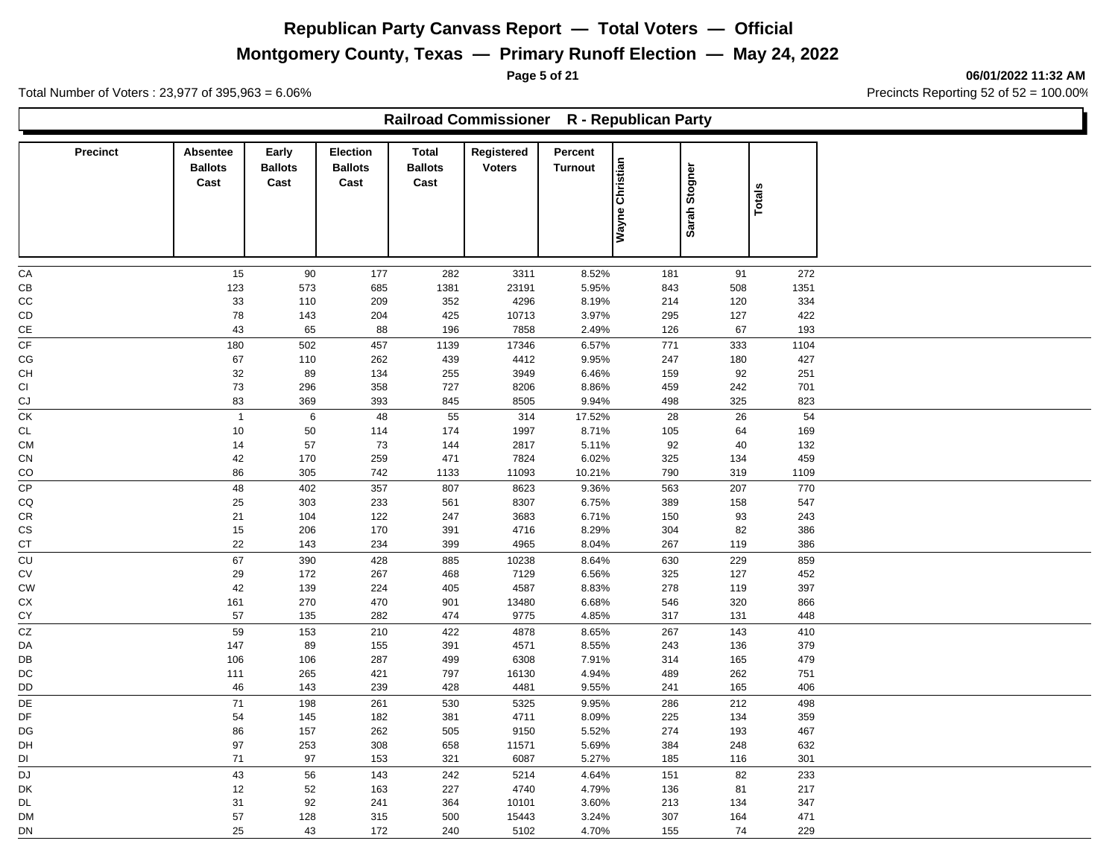# **Montgomery County, Texas — Primary Runoff Election — May 24, 2022**

**Page 5 of 21 06/01/2022 11:32 AM**

Total Number of Voters : 23,977 of 395,963 = 6.06% Precincts Reporting 52 of 52 = 100.00%

г

|                          |                                           |                                 |                                    |                                        | Railroad Commissioner R - Republican Party |                           |                 |               |               |  |
|--------------------------|-------------------------------------------|---------------------------------|------------------------------------|----------------------------------------|--------------------------------------------|---------------------------|-----------------|---------------|---------------|--|
| <b>Precinct</b>          | <b>Absentee</b><br><b>Ballots</b><br>Cast | Early<br><b>Ballots</b><br>Cast | Election<br><b>Ballots</b><br>Cast | <b>Total</b><br><b>Ballots</b><br>Cast | Registered<br><b>Voters</b>                | Percent<br><b>Turnout</b> | Wayne Christian | Sarah Stogner | <b>Totals</b> |  |
|                          | 15                                        |                                 | 177                                |                                        |                                            |                           |                 | 91            | 272           |  |
| CA<br>CВ                 | 123                                       | 90<br>573                       | 685                                | 282<br>1381                            | 3311<br>23191                              | 8.52%<br>5.95%            | 181<br>843      | 508           | 1351          |  |
| CС                       | 33                                        | 110                             | 209                                | 352                                    | 4296                                       | 8.19%                     | 214             | 120           | 334           |  |
| CD                       | 78                                        | 143                             | 204                                | 425                                    | 10713                                      | 3.97%                     | 295             | 127           | 422           |  |
| СE                       | 43                                        | 65                              | 88                                 | 196                                    | 7858                                       | 2.49%                     | 126             | 67            | 193           |  |
| $\overline{\mathsf{CF}}$ | 180                                       | 502                             | 457                                | 1139                                   | 17346                                      | 6.57%                     | 771             | 333           | 1104          |  |
| СG                       | 67                                        | 110                             | 262                                | 439                                    | 4412                                       | 9.95%                     | 247             | 180           | 427           |  |
| CН                       | 32                                        | 89                              | 134                                | 255                                    | 3949                                       | 6.46%                     | 159             | 92            | 251           |  |
| СI                       | 73                                        | 296                             | 358                                | 727                                    | 8206                                       | 8.86%                     | 459             | 242           | 701           |  |
| СJ                       | 83                                        | 369                             | 393                                | 845                                    | 8505                                       | 9.94%                     | 498             | 325           | 823           |  |
| СK                       | $\overline{1}$                            | $\,6\,$                         | 48                                 | 55                                     | 314                                        | 17.52%                    | 28              | 26            | 54            |  |
| CL                       | 10                                        | 50                              | 114                                | 174                                    | 1997                                       | 8.71%                     | 105             | 64            | 169           |  |
| <b>CM</b>                | 14                                        | 57                              | 73                                 | 144                                    | 2817                                       | 5.11%                     | 92              | 40            | 132           |  |
| СN                       | 42                                        | 170                             | 259                                | 471                                    | 7824                                       | 6.02%                     | 325             | 134           | 459           |  |
| CO                       | 86                                        | 305                             | 742                                | 1133                                   | 11093                                      | 10.21%                    | 790             | 319           | 1109          |  |
| СP<br>CQ                 | 48<br>25                                  | 402<br>303                      | 357<br>233                         | 807<br>561                             | 8623<br>8307                               | 9.36%<br>6.75%            | 563<br>389      | 207<br>158    | 770<br>547    |  |
| СR                       | 21                                        | 104                             | 122                                | 247                                    | 3683                                       | 6.71%                     | 150             | 93            | 243           |  |
| СS                       | 15                                        | 206                             | 170                                | 391                                    | 4716                                       | 8.29%                     | 304             | 82            | 386           |  |
| CT                       | 22                                        | 143                             | 234                                | 399                                    | 4965                                       | 8.04%                     | 267             | 119           | 386           |  |
| CU                       | 67                                        | 390                             | 428                                | 885                                    | 10238                                      | 8.64%                     | 630             | 229           | 859           |  |
| CV                       | 29                                        | 172                             | 267                                | 468                                    | 7129                                       | 6.56%                     | 325             | 127           | 452           |  |
| CW                       | 42                                        | 139                             | 224                                | 405                                    | 4587                                       | 8.83%                     | 278             | 119           | 397           |  |
| СX                       | 161                                       | 270                             | 470                                | 901                                    | 13480                                      | 6.68%                     | 546             | 320           | 866           |  |
| СY                       | 57                                        | 135                             | 282                                | 474                                    | 9775                                       | 4.85%                     | 317             | 131           | 448           |  |
| CZ                       | 59                                        | 153                             | 210                                | 422                                    | 4878                                       | 8.65%                     | 267             | 143           | 410           |  |
| DA                       | 147                                       | 89                              | 155                                | 391                                    | 4571                                       | 8.55%                     | 243             | 136           | 379           |  |
| DB                       | 106                                       | 106                             | 287                                | 499                                    | 6308                                       | 7.91%                     | 314             | 165           | 479           |  |
| DC                       | 111                                       | 265                             | 421                                | 797                                    | 16130                                      | 4.94%                     | 489             | 262           | 751           |  |
| DD                       | 46                                        | 143                             | 239                                | 428                                    | 4481                                       | 9.55%                     | 241             | 165           | 406           |  |
| DE                       | $\bf 71$                                  | 198                             | 261                                | 530                                    | 5325                                       | 9.95%                     | 286             | 212           | 498           |  |
| DF                       | 54                                        | 145                             | 182                                | 381                                    | 4711                                       | 8.09%                     | 225             | 134           | 359           |  |
| DG<br>DH                 | 86<br>97                                  | 157<br>253                      | 262<br>308                         | 505<br>658                             | 9150<br>11571                              | 5.52%<br>5.69%            | 274<br>384      | 193<br>248    | 467<br>632    |  |
| DI                       | 71                                        | 97                              | 153                                | 321                                    | 6087                                       | 5.27%                     | 185             | 116           | 301           |  |
| DJ                       | 43                                        | 56                              | 143                                | 242                                    | 5214                                       | 4.64%                     | 151             | 82            | 233           |  |
| DK                       | 12                                        | 52                              | 163                                | 227                                    | 4740                                       | 4.79%                     | 136             | 81            | 217           |  |
| DL                       | 31                                        | 92                              | 241                                | 364                                    | 10101                                      | 3.60%                     | 213             | 134           | 347           |  |
| DM                       | 57                                        | 128                             | 315                                | 500                                    | 15443                                      | 3.24%                     | 307             | 164           | 471           |  |
| DN                       | 25                                        | 43                              | 172                                | 240                                    | 5102                                       | 4.70%                     | 155             | 74            | 229           |  |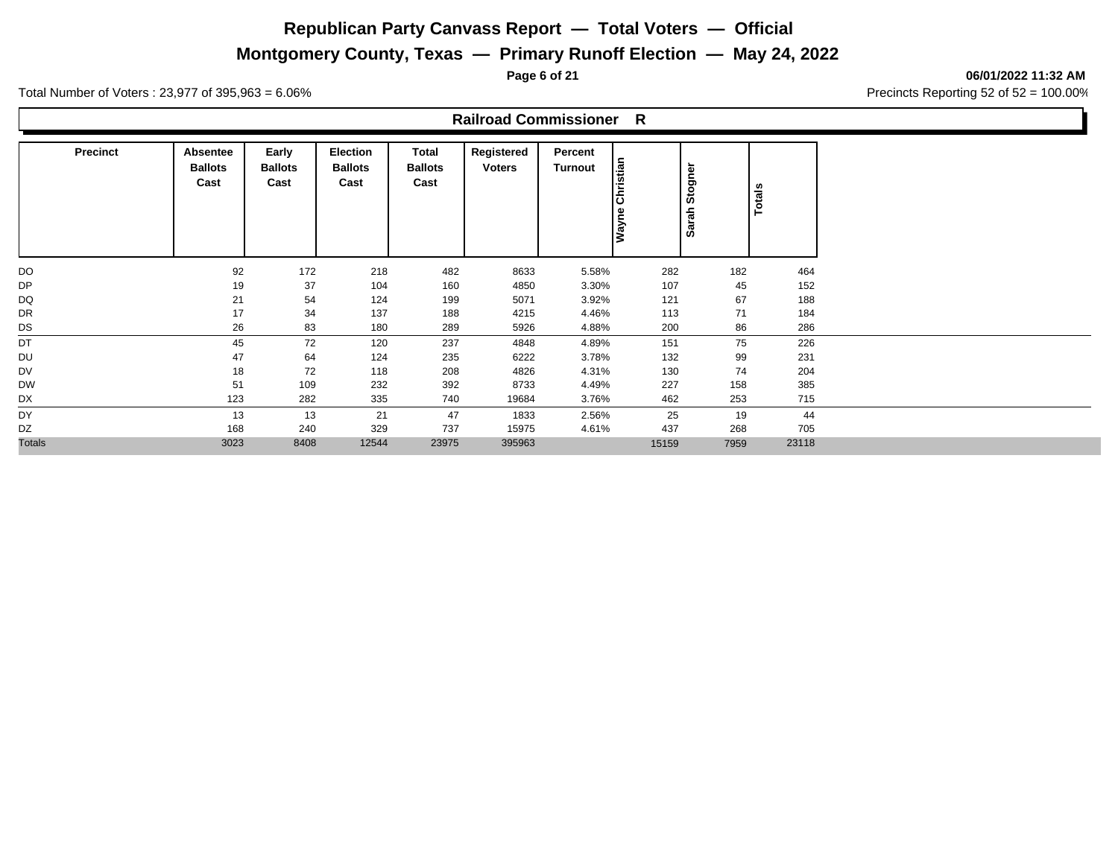**Montgomery County, Texas — Primary Runoff Election — May 24, 2022**

**Page 6 of 21 06/01/2022 11:32 AM**

Total Number of Voters : 23,977 of 395,963 = 6.06% Precincts Reporting 52 of 52 = 100.00%

#### **Railroad Commissioner R**

| <b>Precinct</b> | Absentee<br><b>Ballots</b><br>Cast | Early<br><b>Ballots</b><br>Cast | <b>Election</b><br><b>Ballots</b><br>Cast | Total<br><b>Ballots</b><br>Cast | Registered<br><b>Voters</b> | Percent<br><b>Turnout</b> | Christian<br>Wayne | Stogner<br>Sarah | Totals |
|-----------------|------------------------------------|---------------------------------|-------------------------------------------|---------------------------------|-----------------------------|---------------------------|--------------------|------------------|--------|
| DO              | 92                                 | 172                             | 218                                       | 482                             | 8633                        | 5.58%                     | 282                | 182              | 464    |
| DP              | 19                                 | 37                              | 104                                       | 160                             | 4850                        | 3.30%                     | 107                | 45               | 152    |
| DQ              | 21                                 | 54                              | 124                                       | 199                             | 5071                        | 3.92%                     | 121                | 67               | 188    |
| DR              | 17                                 | 34                              | 137                                       | 188                             | 4215                        | 4.46%                     | 113                | 71               | 184    |
| DS              | 26                                 | 83                              | 180                                       | 289                             | 5926                        | 4.88%                     | 200                | 86               | 286    |
| DT              | 45                                 | 72                              | 120                                       | 237                             | 4848                        | 4.89%                     | 151                | 75               | 226    |
| DU              | 47                                 | 64                              | 124                                       | 235                             | 6222                        | 3.78%                     | 132                | 99               | 231    |
| DV              | 18                                 | 72                              | 118                                       | 208                             | 4826                        | 4.31%                     | 130                | 74               | 204    |
| <b>DW</b>       | 51                                 | 109                             | 232                                       | 392                             | 8733                        | 4.49%                     | 227                | 158              | 385    |
| DX              | 123                                | 282                             | 335                                       | 740                             | 19684                       | 3.76%                     | 462                | 253              | 715    |
| DY              | 13                                 | 13                              | 21                                        | 47                              | 1833                        | 2.56%                     | 25                 | 19               | 44     |
| DZ              | 168                                | 240                             | 329                                       | 737                             | 15975                       | 4.61%                     | 437                | 268              | 705    |
| <b>Totals</b>   | 3023                               | 8408                            | 12544                                     | 23975                           | 395963                      |                           | 15159              | 7959             | 23118  |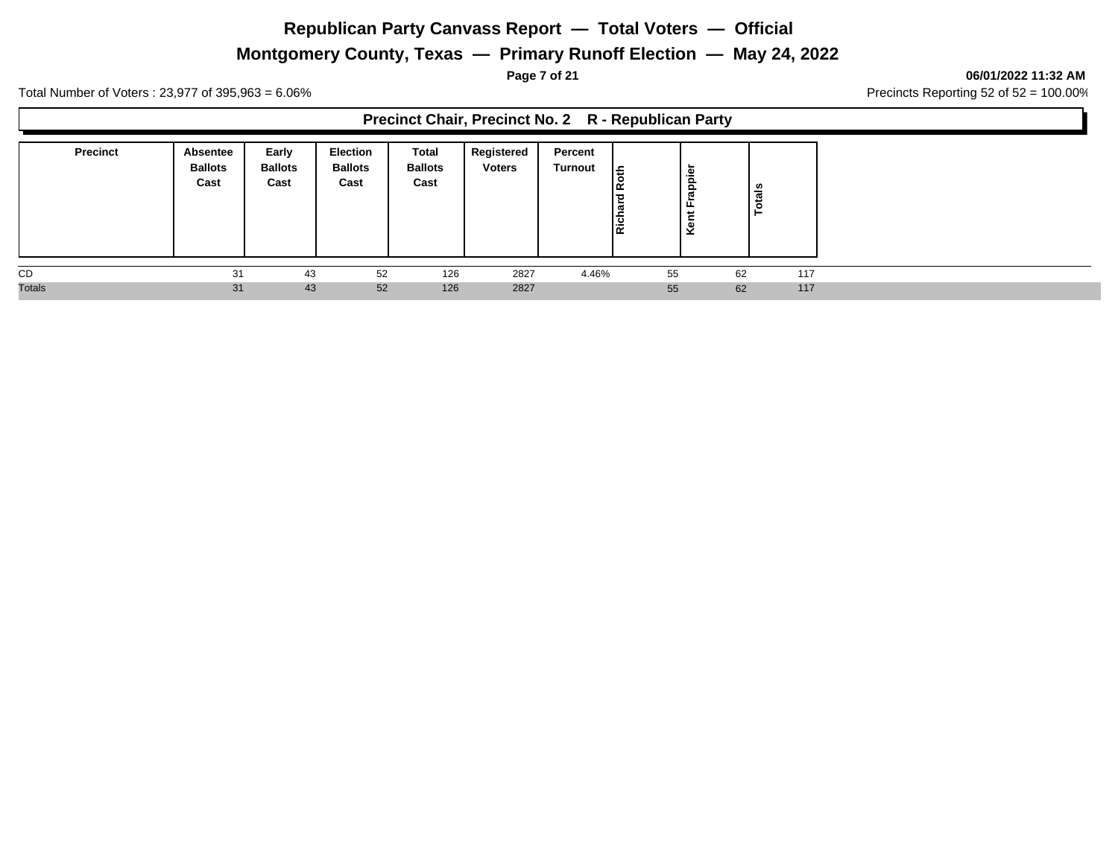# **Montgomery County, Texas — Primary Runoff Election — May 24, 2022**

**Page 7 of 21 06/01/2022 11:32 AM**

Total Number of Voters : 23,977 of 395,963 = 6.06% Precincts Reporting 52 of 52 = 100.00%

#### **Precinct Chair, Precinct No. 2 R - Republican Party**

| <b>Precinct</b> | Absentee<br><b>Ballots</b><br>Cast | Early<br><b>Ballots</b><br>Cast | <b>Election</b><br><b>Ballots</b><br>Cast | Total<br><b>Ballots</b><br>Cast | Registered<br><b>Voters</b> | Percent<br><b>Turnout</b> | £.<br>Rich | Frappien<br>Kent |    | ឹ   |  |  |  |  |  |
|-----------------|------------------------------------|---------------------------------|-------------------------------------------|---------------------------------|-----------------------------|---------------------------|------------|------------------|----|-----|--|--|--|--|--|
| CD              | 31                                 | 43                              | 52                                        | 126                             | 2827                        | 4.46%                     |            | 55               | 62 | 117 |  |  |  |  |  |
| <b>Totals</b>   | 31                                 | 43                              | 52                                        | 126                             | 2827                        |                           |            | 55               | 62 | 117 |  |  |  |  |  |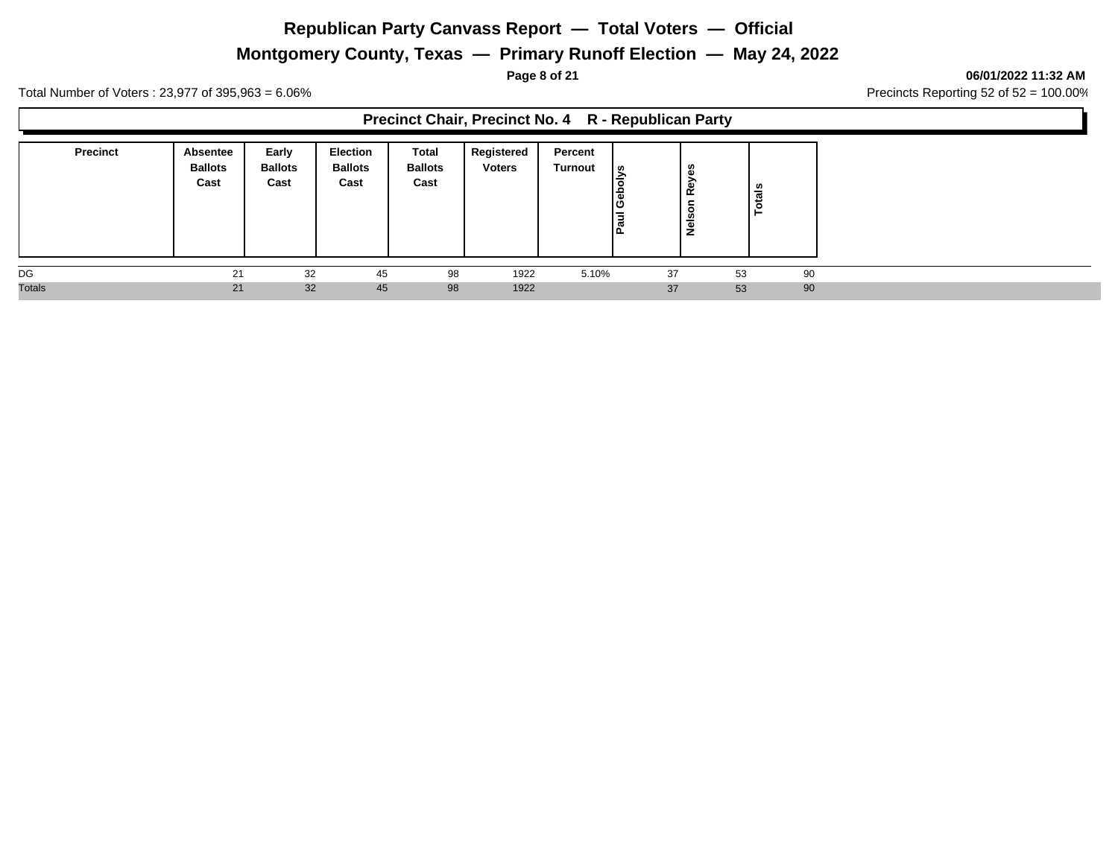# **Montgomery County, Texas — Primary Runoff Election — May 24, 2022**

**Page 8 of 21 06/01/2022 11:32 AM**

Total Number of Voters : 23,977 of 395,963 = 6.06% Precincts Reporting 52 of 52 = 100.00%

**Precinct Chair, Precinct No. 4 R - Republican Party**

| <b>Precinct</b> | Absentee<br><b>Ballots</b><br>Cast | Early<br><b>Ballots</b><br>Cast | Election<br><b>Ballots</b><br>Cast | Total<br><b>Ballots</b><br>Cast | Registered<br><b>Voters</b> | Percent<br><b>Turnout</b> | l ഗ<br>$\overline{\overline{\overline{a}}}$ | c<br>Œ<br><b>Rey</b><br>∼<br>$\circ$<br>Nels | als<br>-C<br>⊢ |
|-----------------|------------------------------------|---------------------------------|------------------------------------|---------------------------------|-----------------------------|---------------------------|---------------------------------------------|----------------------------------------------|----------------|
| DG              | 21                                 | 32                              | 45                                 | 98                              | 1922                        | 5.10%                     | 37                                          | 53                                           | 90             |
| <b>Totals</b>   | 21                                 | 32                              | 45                                 | 98                              | 1922                        |                           | 37                                          | 53                                           | 90             |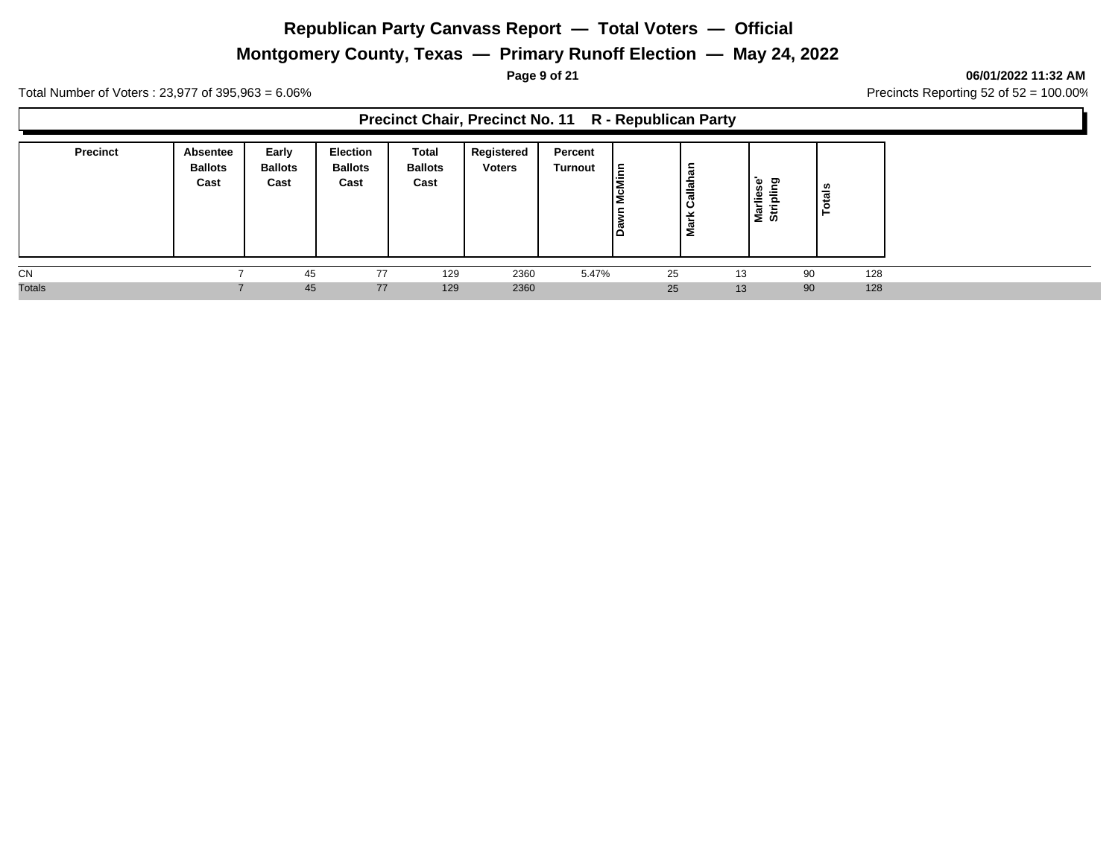# **Montgomery County, Texas — Primary Runoff Election — May 24, 2022**

Total Number of Voters : 23,977 of 395,963 = 6.06% Precincts Reporting 52 of 52 = 100.00%

#### **Precinct Chair, Precinct No. 11 R - Republican Party**

| <b>Precinct</b> | <b>Absentee</b><br><b>Ballots</b><br>Cast | Early<br><b>Ballots</b><br>Cast | <b>Election</b><br><b>Ballots</b><br>Cast | Total<br><b>Ballots</b><br>Cast | Registered<br><b>Voters</b> | Percent<br>Turnout | Ε<br>.-<br>ठ<br>ப | . ਲ<br>-<br>Callah<br>÷<br>Mar | ۵۵<br>ರಾ<br>s.<br>高<br>ω<br>.=<br>⋍<br>$\overline{\phantom{0}}$<br>∽<br>ø<br>≂<br>÷<br>三の | tais<br>c<br>- |
|-----------------|-------------------------------------------|---------------------------------|-------------------------------------------|---------------------------------|-----------------------------|--------------------|-------------------|--------------------------------|-------------------------------------------------------------------------------------------|----------------|
| CN              |                                           | 45                              | 77                                        | 129                             | 2360                        | 5.47%              | 25                |                                | 13                                                                                        | 128<br>90      |
| <b>Totals</b>   |                                           | 45                              | 77                                        | 129                             | 2360                        |                    | 25                |                                | 13                                                                                        | 128<br>90      |

#### **Page 9 of 21 06/01/2022 11:32 AM**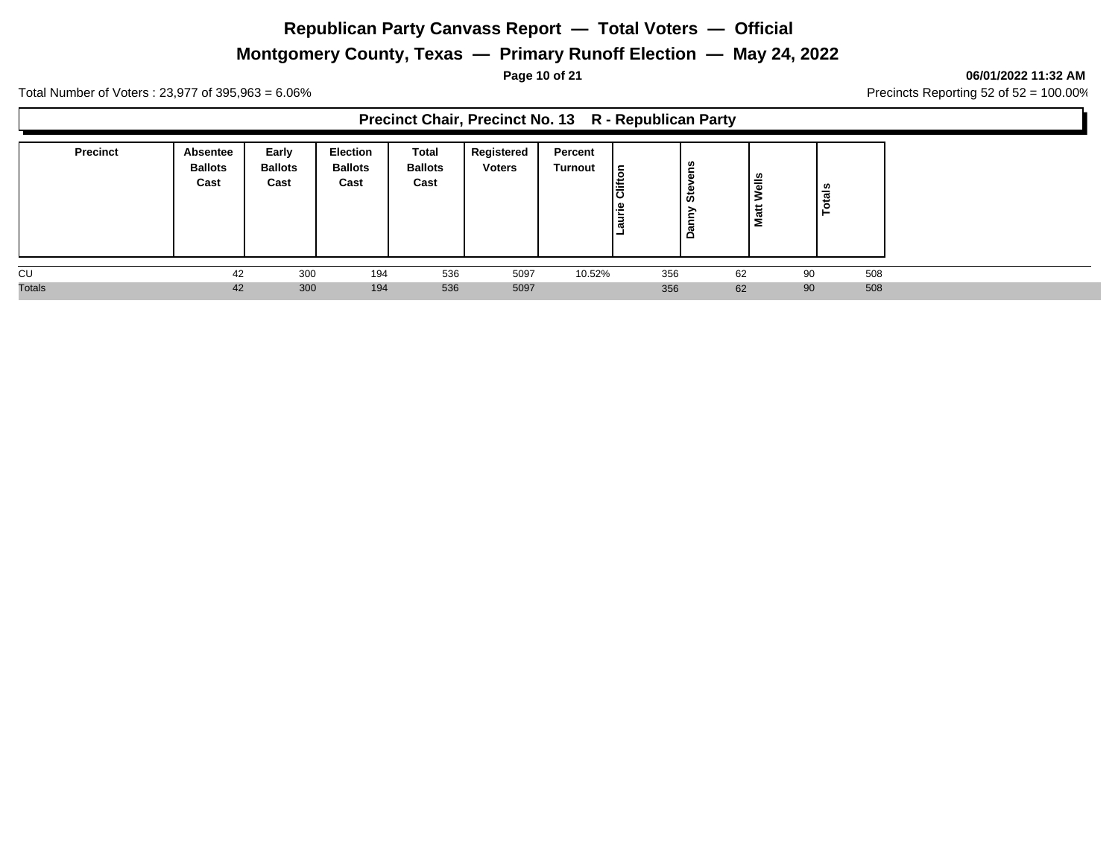# **Montgomery County, Texas — Primary Runoff Election — May 24, 2022**

Total Number of Voters : 23,977 of 395,963 = 6.06% Precincts Reporting 52 of 52 = 100.00%

#### **Precinct Chair, Precinct No. 13 R - Republican Party**

| <b>Precinct</b> | Absentee<br><b>Ballots</b><br>Cast | Early<br><b>Ballots</b><br>Cast | <b>Election</b><br><b>Ballots</b><br>Cast | Total<br><b>Ballots</b><br>Cast | Registered<br><b>Voters</b> | Percent<br>Turnout | δ<br>lັັັ<br>≅.<br>Ĕ | 5<br>≏ | elle<br>$\ddot{a}$<br>Σ | otals |  |
|-----------------|------------------------------------|---------------------------------|-------------------------------------------|---------------------------------|-----------------------------|--------------------|----------------------|--------|-------------------------|-------|--|
| CU              | 42                                 | 300                             | 194                                       | 536                             | 5097                        | 10.52%             | 356                  | 62     | 90                      | 508   |  |
| <b>Totals</b>   | 42                                 | 300                             | 194                                       | 536                             | 5097                        |                    | 356                  | 62     | 90                      | 508   |  |

**Page 10 of 21 06/01/2022 11:32 AM**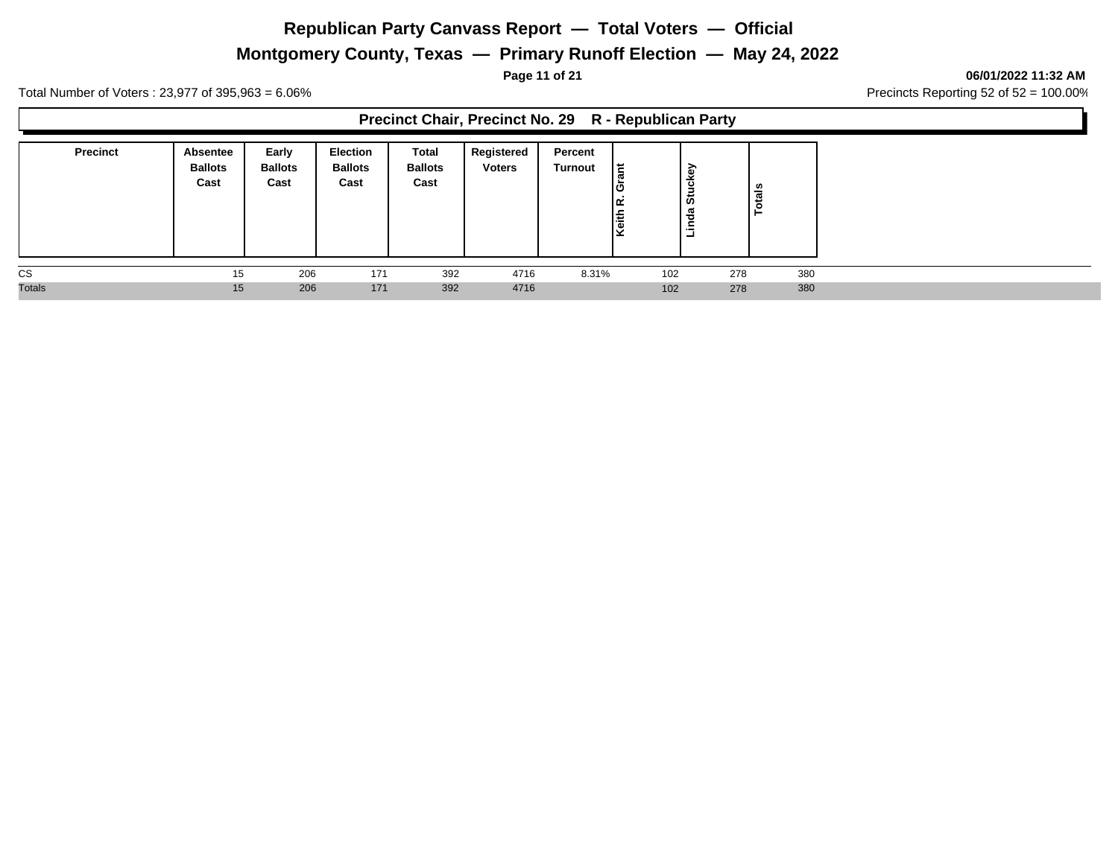# **Montgomery County, Texas — Primary Runoff Election — May 24, 2022**

**Page 11 of 21 06/01/2022 11:32 AM**

Total Number of Voters : 23,977 of 395,963 = 6.06% Precincts Reporting 52 of 52 = 100.00%

#### **Precinct Chair, Precinct No. 29 R - Republican Party**

| <b>Precinct</b> | Absentee<br><b>Ballots</b><br>Cast | Early<br><b>Ballots</b><br>Cast | <b>Election</b><br><b>Ballots</b><br>Cast | Total<br><b>Ballots</b><br>Cast | Registered<br><b>Voters</b> | Percent<br><b>Turnout</b> | ١ă<br>ю<br>leith | Stuckey<br>Linda | =   |     |
|-----------------|------------------------------------|---------------------------------|-------------------------------------------|---------------------------------|-----------------------------|---------------------------|------------------|------------------|-----|-----|
| CS              | 15                                 | 206                             | 171                                       | 392                             | 4716                        | 8.31%                     | 102              |                  | 278 | 380 |
| <b>Totals</b>   | 15                                 | 206                             | 171                                       | 392                             | 4716                        |                           | 102              |                  | 278 | 380 |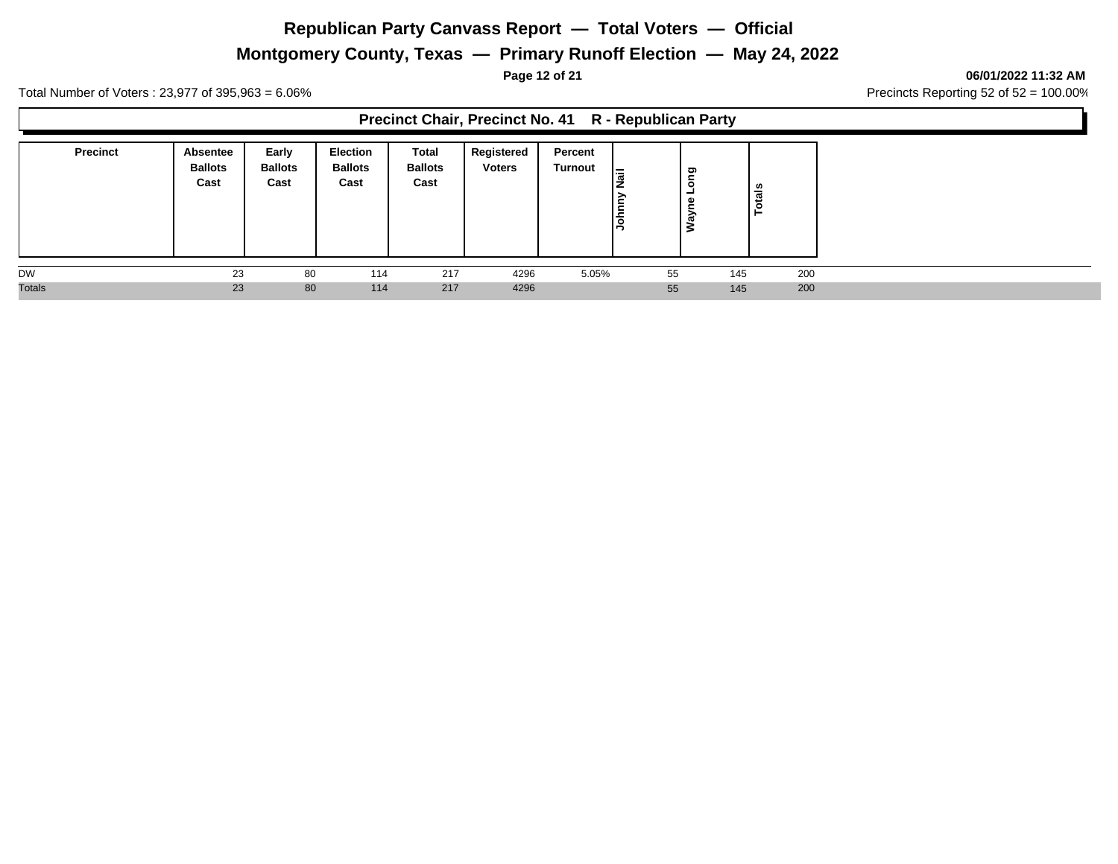# **Montgomery County, Texas — Primary Runoff Election — May 24, 2022**

**Page 12 of 21 06/01/2022 11:32 AM**

Total Number of Voters : 23,977 of 395,963 = 6.06% Precincts Reporting 52 of 52 = 100.00%

#### **Precinct Chair, Precinct No. 41 R - Republican Party**

| <b>Precinct</b> | Absentee<br><b>Ballots</b><br>Cast | Early<br><b>Ballots</b><br>Cast | <b>Election</b><br><b>Ballots</b><br>Cast | Total<br><b>Ballots</b><br>Cast | Registered<br><b>Voters</b> | Percent<br>Turnout | l≔<br>lই | δu<br>$\circ$<br>-<br>↗ | ឹ<br>-44 |     |
|-----------------|------------------------------------|---------------------------------|-------------------------------------------|---------------------------------|-----------------------------|--------------------|----------|-------------------------|----------|-----|
| <b>DW</b>       | 23                                 | 80                              | 114                                       | 217                             | 4296                        | 5.05%              | 55       | 145                     |          | 200 |
| <b>Totals</b>   | 23                                 | 80                              | 114                                       | 217                             | 4296                        |                    | 55       | 145                     |          | 200 |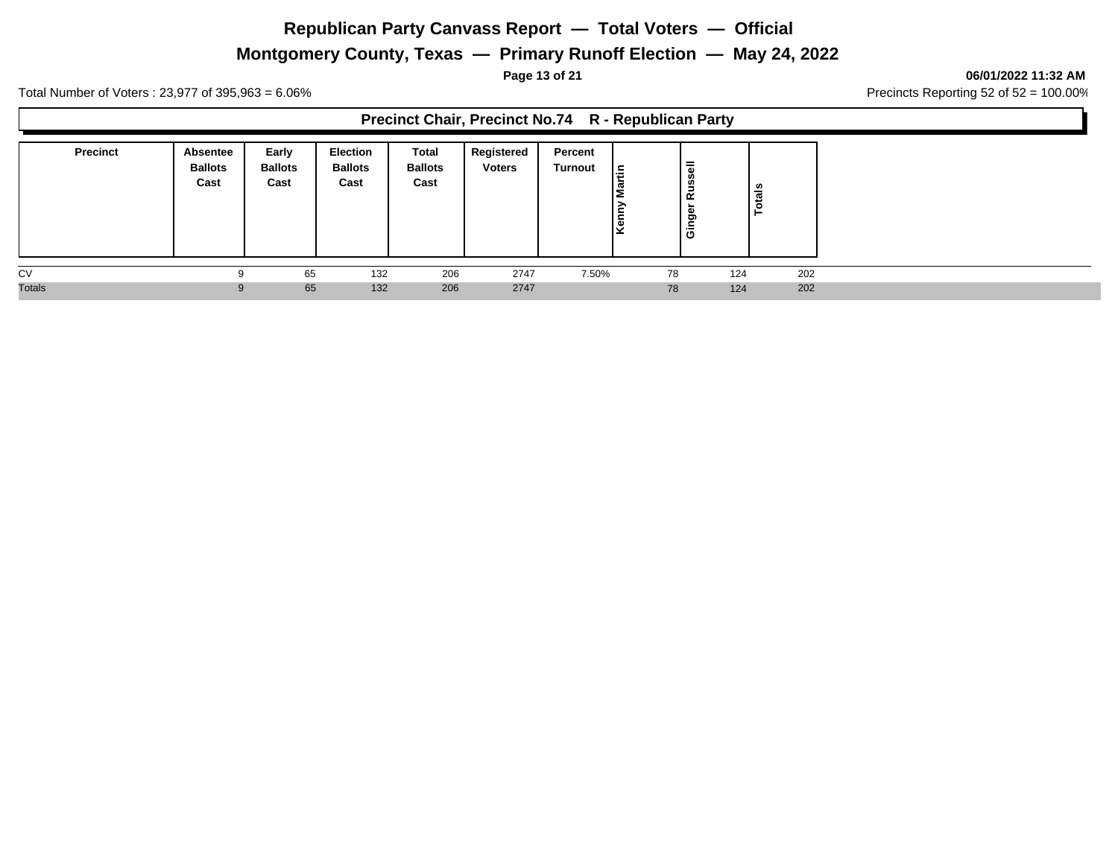# **Montgomery County, Texas — Primary Runoff Election — May 24, 2022**

**Page 13 of 21 06/01/2022 11:32 AM**

Total Number of Voters : 23,977 of 395,963 = 6.06% Precincts Reporting 52 of 52 = 100.00%

#### **Precinct Chair, Precinct No.74 R - Republican Party**

| <b>Precinct</b> | <b>Absentee</b><br><b>Ballots</b><br>Cast | Early<br><b>Ballots</b><br>Cast | <b>Election</b><br><b>Ballots</b><br>Cast | <b>Total</b><br><b>Ballots</b><br>Cast | Registered<br><b>Voters</b> | Percent<br><b>Turnout</b> | lاء | $\overline{\overline{6}}$<br><b>Russ</b><br>∼<br>Gingel | ូខ  |  |
|-----------------|-------------------------------------------|---------------------------------|-------------------------------------------|----------------------------------------|-----------------------------|---------------------------|-----|---------------------------------------------------------|-----|--|
| CV              | a                                         | 65                              | 132                                       | 206                                    | 2747                        | 7.50%                     | 78  | 124                                                     | 202 |  |
| <b>Totals</b>   | 9                                         | 65                              | 132                                       | 206                                    | 2747                        |                           | 78  | 124                                                     | 202 |  |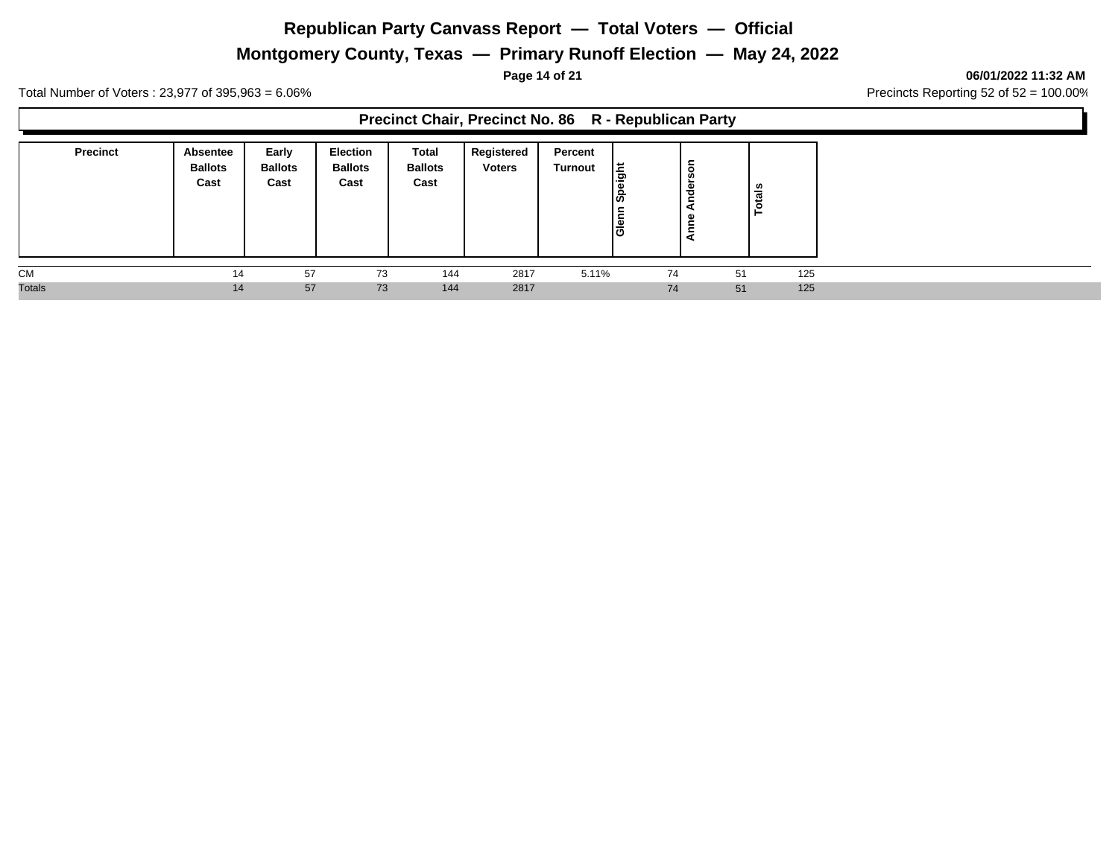# **Montgomery County, Texas — Primary Runoff Election — May 24, 2022**

**Page 14 of 21 06/01/2022 11:32 AM**

Total Number of Voters : 23,977 of 395,963 = 6.06% Precincts Reporting 52 of 52 = 100.00%

#### **Precinct Chair, Precinct No. 86 R - Republican Party**

| <b>Precinct</b> | Absentee<br><b>Ballots</b><br>Cast | Early<br><b>Ballots</b><br>Cast | Election<br><b>Ballots</b><br>Cast | <b>Total</b><br><b>Ballots</b><br>Cast | Registered<br><b>Voters</b> | Percent<br><b>Turnout</b> | l E<br>၊ஃ<br>lele | ā<br>Φ<br>ᄒ<br>ω | als<br>مّ |  |
|-----------------|------------------------------------|---------------------------------|------------------------------------|----------------------------------------|-----------------------------|---------------------------|-------------------|------------------|-----------|--|
| <b>CM</b>       | 14                                 | 57                              | 73                                 | 144                                    | 2817                        | 5.11%                     | 74                | 51               | 125       |  |
| <b>Totals</b>   | 14                                 | 57                              | 73                                 | 144                                    | 2817                        |                           | 74                | 51               | 125       |  |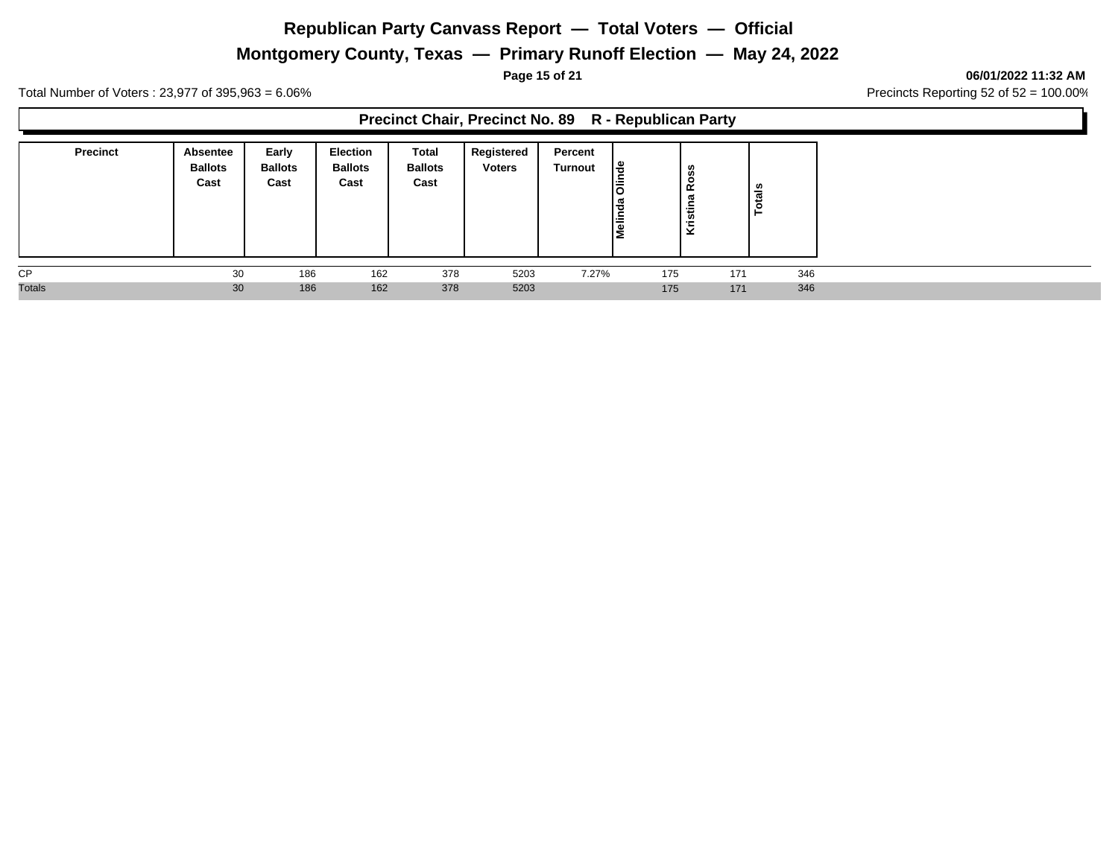# **Montgomery County, Texas — Primary Runoff Election — May 24, 2022**

**Page 15 of 21 06/01/2022 11:32 AM**

Total Number of Voters : 23,977 of 395,963 = 6.06% Precincts Reporting 52 of 52 = 100.00%

#### **Precinct Chair, Precinct No. 89 R - Republican Party**

| <b>Precinct</b> | <b>Absentee</b><br><b>Ballots</b><br>Cast | Early<br><b>Ballots</b><br>Cast | Election<br><b>Ballots</b><br>Cast | <b>Total</b><br><b>Ballots</b><br>Cast | Registered<br><b>Voters</b> | Percent<br><b>Turnout</b> | l៖<br>lelir | U)<br>Ros<br>으<br>Kristin | ៖<br>.c<br>⊢ |
|-----------------|-------------------------------------------|---------------------------------|------------------------------------|----------------------------------------|-----------------------------|---------------------------|-------------|---------------------------|--------------|
| <b>CP</b>       | 30                                        | 186                             | 162                                | 378                                    | 5203                        | 7.27%                     | 175         | 171                       | 346          |
| <b>Totals</b>   | 30                                        | 186                             | 162                                | 378                                    | 5203                        |                           | 175         | 171                       | 346          |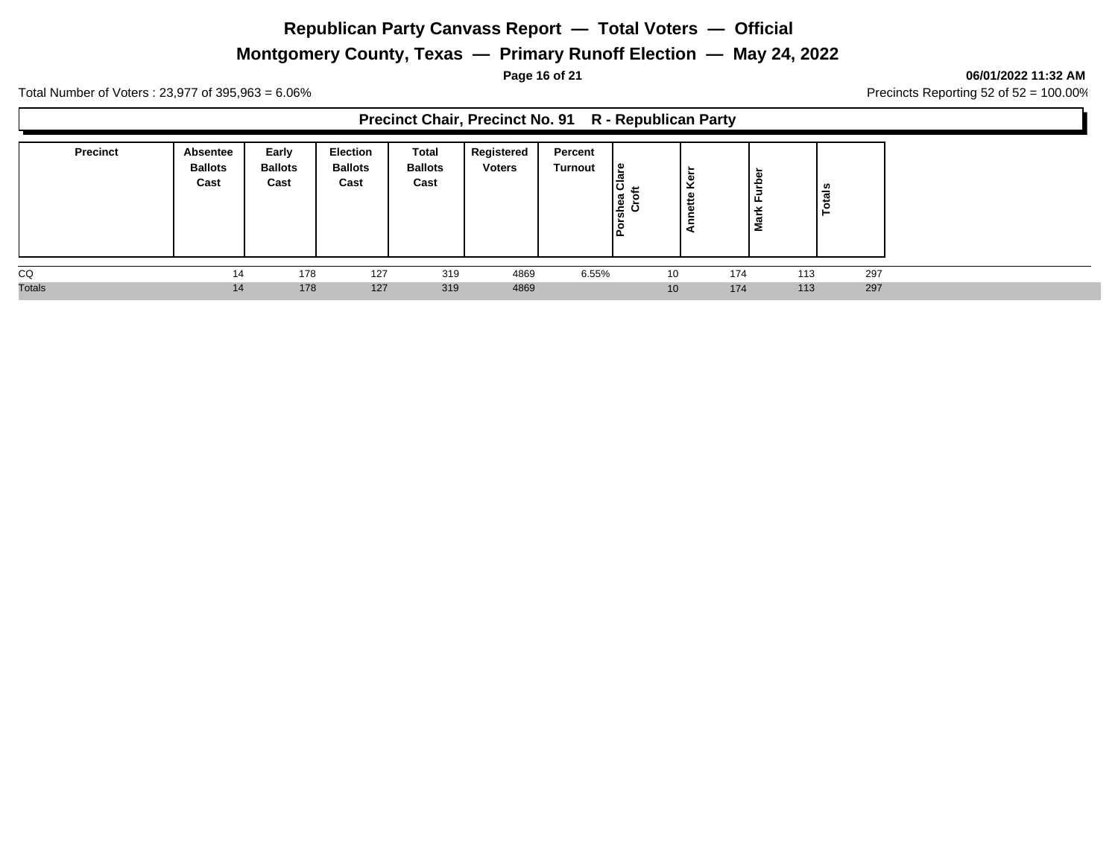# **Montgomery County, Texas — Primary Runoff Election — May 24, 2022**

**Page 16 of 21 06/01/2022 11:32 AM**

Total Number of Voters : 23,977 of 395,963 = 6.06% Precincts Reporting 52 of 52 = 100.00%

#### **Precinct Chair, Precinct No. 91 R - Republican Party**

| <b>Precinct</b> | Absentee<br><b>Ballots</b><br>Cast | Early<br><b>Ballots</b><br>Cast | <b>Election</b><br><b>Ballots</b><br>Cast | Total<br><b>Ballots</b><br>Cast | Registered<br><b>Voters</b> | Percent<br>Turnout | ဗု<br>$\mathbf \sigma$<br>O<br>shea<br>Crot<br>12 |     | Ê<br>╹╙<br>≚<br>᠊ᢆ<br>Σ | otals |  |
|-----------------|------------------------------------|---------------------------------|-------------------------------------------|---------------------------------|-----------------------------|--------------------|---------------------------------------------------|-----|-------------------------|-------|--|
| CQ              | 14                                 | 178                             | 127                                       | 319                             | 4869                        | $6.55\%$           | 10                                                | 174 | 113                     | 297   |  |
| <b>Totals</b>   | 14                                 | 178                             | 127                                       | 319                             | 4869                        |                    | 10                                                | 174 | 113                     | 297   |  |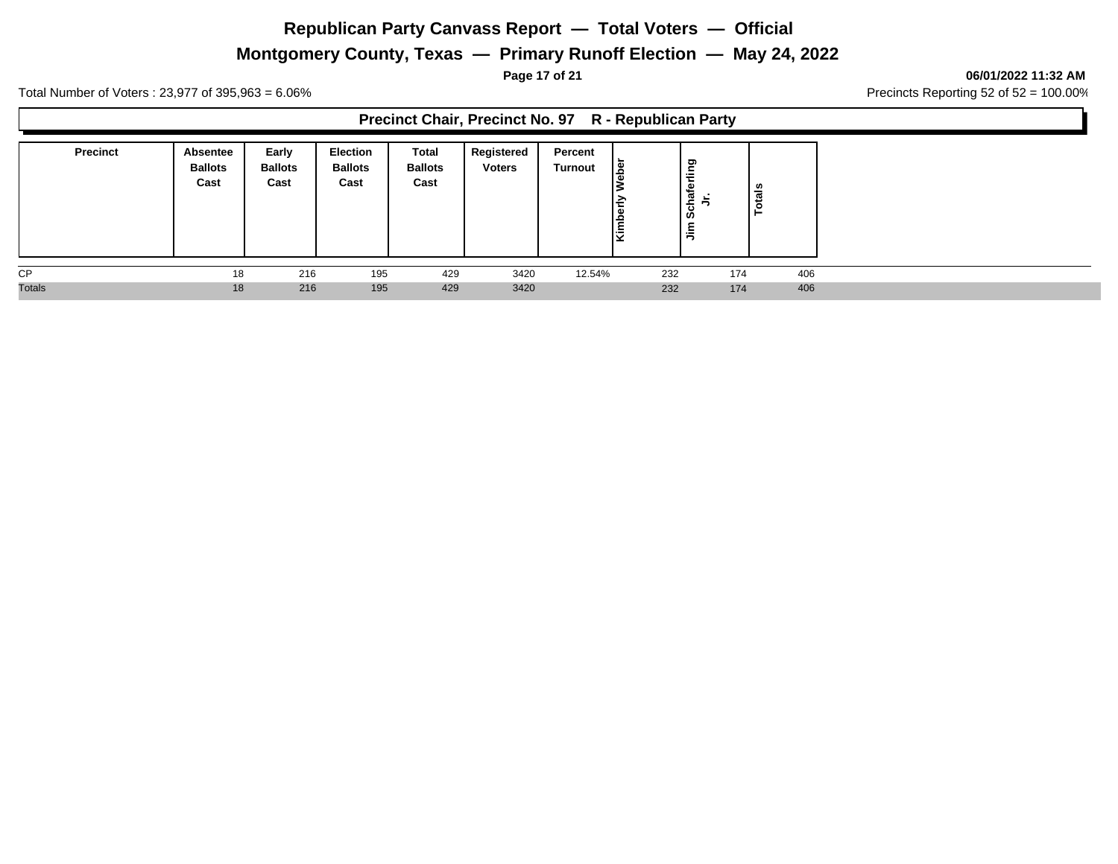# **Montgomery County, Texas — Primary Runoff Election — May 24, 2022**

**Page 17 of 21 06/01/2022 11:32 AM**

Total Number of Voters : 23,977 of 395,963 = 6.06% Precincts Reporting 52 of 52 = 100.00%

#### **Precinct Chair, Precinct No. 97 R - Republican Party**

| <b>Precinct</b> | <b>Absentee</b><br><b>Ballots</b><br>Cast | Early<br><b>Ballots</b><br>Cast | <b>Election</b><br><b>Ballots</b><br>Cast | Total<br><b>Ballots</b><br>Cast | Registered<br><b>Voters</b> | Percent<br><b>Turnout</b> | l Se<br>اتًا | rling<br>Φ<br>chaf<br>ဖ<br>$\bar{z}$ | ທ   |
|-----------------|-------------------------------------------|---------------------------------|-------------------------------------------|---------------------------------|-----------------------------|---------------------------|--------------|--------------------------------------|-----|
| <b>CP</b>       | 18                                        | 216                             | 195                                       | 429                             | 3420                        | 12.54%                    | 232          | 174                                  | 406 |
| <b>Totals</b>   | 18                                        | 216                             | 195                                       | 429                             | 3420                        |                           | 232          | 174                                  | 406 |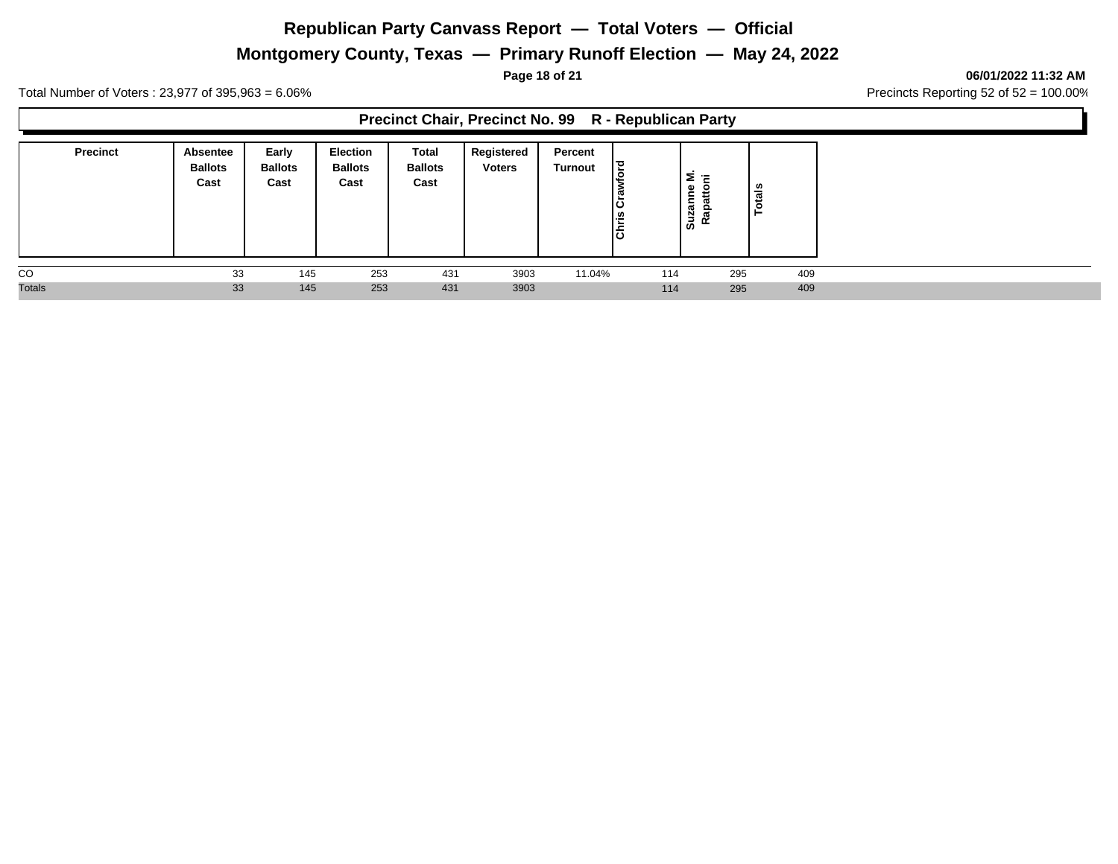# **Montgomery County, Texas — Primary Runoff Election — May 24, 2022**

**Page 18 of 21 06/01/2022 11:32 AM**

Total Number of Voters : 23,977 of 395,963 = 6.06% Precincts Reporting 52 of 52 = 100.00%

#### **Precinct Chair, Precinct No. 99 R - Republican Party**

| <b>Precinct</b> | Absentee<br><b>Ballots</b><br>Cast | Early<br><b>Ballots</b><br>Cast | <b>Election</b><br><b>Ballots</b><br>Cast | Total<br><b>Ballots</b><br>Cast | Registered<br><b>Voters</b> | Percent<br>Turnout | 日<br>ةا<br><b>Chris</b> | -<br>$\overline{\phantom{0}}$<br>-<br>Ξ<br>Suza<br>œ<br>≃ | ័ត<br>c<br>- |
|-----------------|------------------------------------|---------------------------------|-------------------------------------------|---------------------------------|-----------------------------|--------------------|-------------------------|-----------------------------------------------------------|--------------|
| CO              | 33                                 | 145                             | 253                                       | 431                             | 3903                        | 11.04%             | 114                     | 295                                                       | 409          |
| <b>Totals</b>   | 33                                 | 145                             | 253                                       | 431                             | 3903                        |                    | 114                     | 295                                                       | 409          |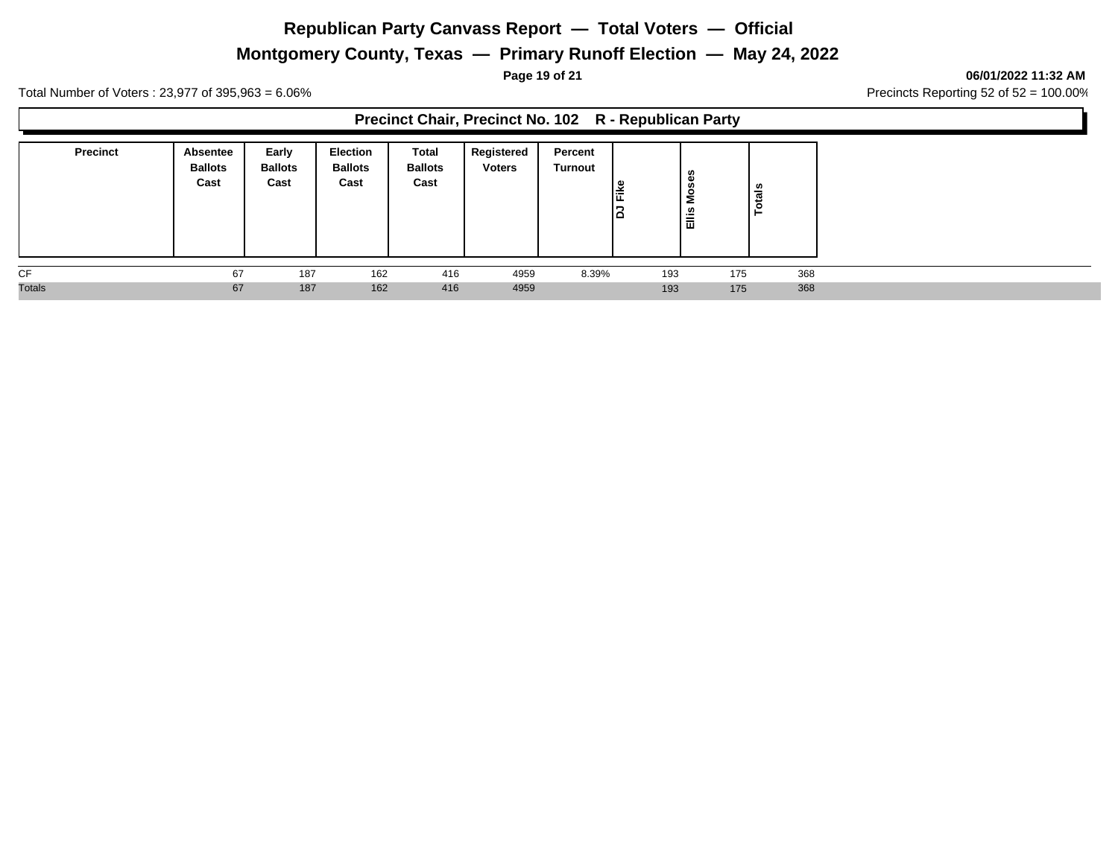# **Montgomery County, Texas — Primary Runoff Election — May 24, 2022**

**Page 19 of 21 06/01/2022 11:32 AM**

Total Number of Voters : 23,977 of 395,963 = 6.06% Precincts Reporting 52 of 52 = 100.00%

#### **Precinct Chair, Precinct No. 102 R - Republican Party**

| <b>Precinct</b> | Absentee<br><b>Ballots</b><br>Cast | Early<br><b>Ballots</b><br>Cast | <b>Election</b><br><b>Ballots</b><br>Cast | Total<br><b>Ballots</b><br>Cast | Registered<br><b>Voters</b> | Percent<br>Turnout | ۱۵  | š<br>Ëllis | ន់<br>- 11<br>$\circ$<br>− |  |
|-----------------|------------------------------------|---------------------------------|-------------------------------------------|---------------------------------|-----------------------------|--------------------|-----|------------|----------------------------|--|
| CF              | 67                                 | 187                             | 162                                       | 416                             | 4959                        | 8.39%              | 193 | 175        | 368                        |  |
| <b>Totals</b>   | 67                                 | 187                             | 162                                       | 416                             | 4959                        |                    | 193 | 175        | 368                        |  |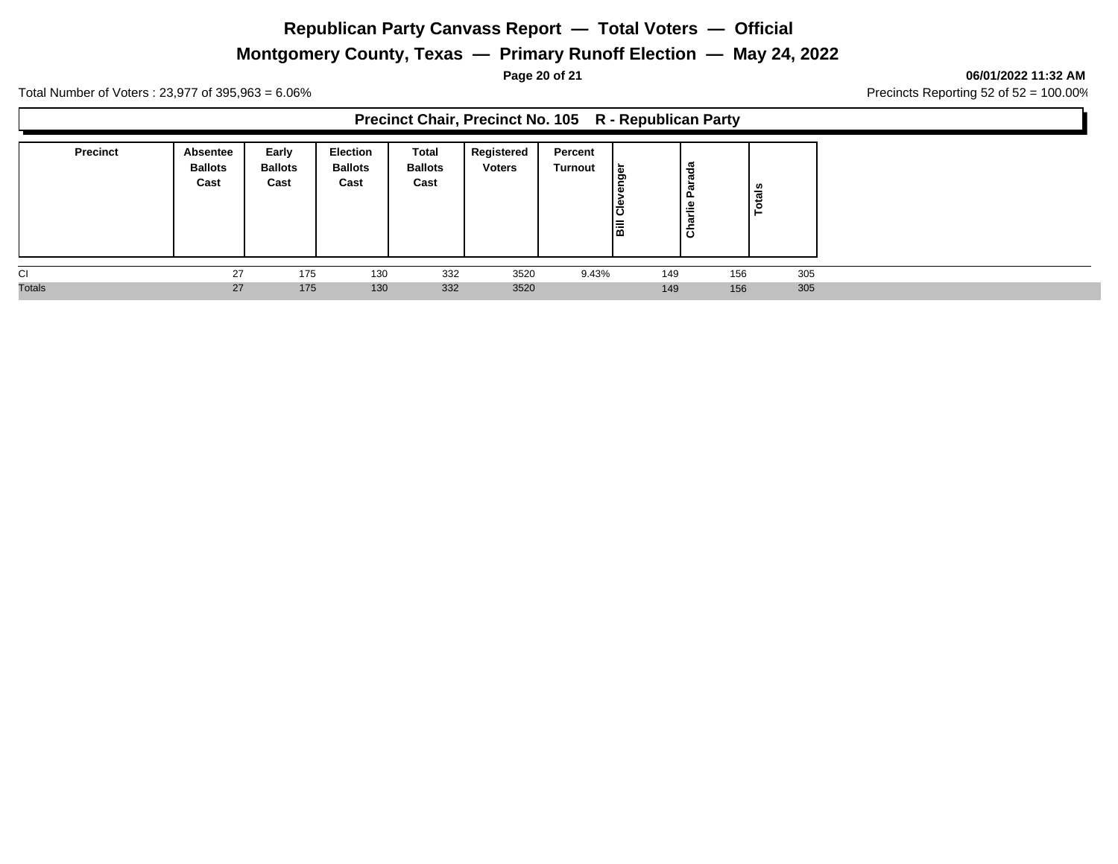# **Montgomery County, Texas — Primary Runoff Election — May 24, 2022**

**Page 20 of 21 06/01/2022 11:32 AM**

Total Number of Voters : 23,977 of 395,963 = 6.06% Precincts Reporting 52 of 52 = 100.00%

**Precinct Chair, Precinct No. 105 R - Republican Party**

| <b>Precinct</b> | Absentee<br><b>Ballots</b><br>Cast | Early<br><b>Ballots</b><br>Cast | Election<br><b>Ballots</b><br>Cast | Total<br><b>Ballots</b><br>Cast | Registered<br><b>Voters</b> | Percent<br>Turnout | ه ا<br>ō<br>Φ<br>ခြီ<br>冨 | 용<br>w<br>ਨੋ<br>௨<br>ŕle<br>ㅎ | als<br>ٶ |
|-----------------|------------------------------------|---------------------------------|------------------------------------|---------------------------------|-----------------------------|--------------------|---------------------------|-------------------------------|----------|
| <b>CI</b>       | 27                                 | 175                             | 130                                | 332                             | 3520                        | 9.43%              | 149                       | 156                           | 305      |
| <b>Totals</b>   | 27                                 | 175                             | 130                                | 332                             | 3520                        |                    | 149                       | 156                           | 305      |